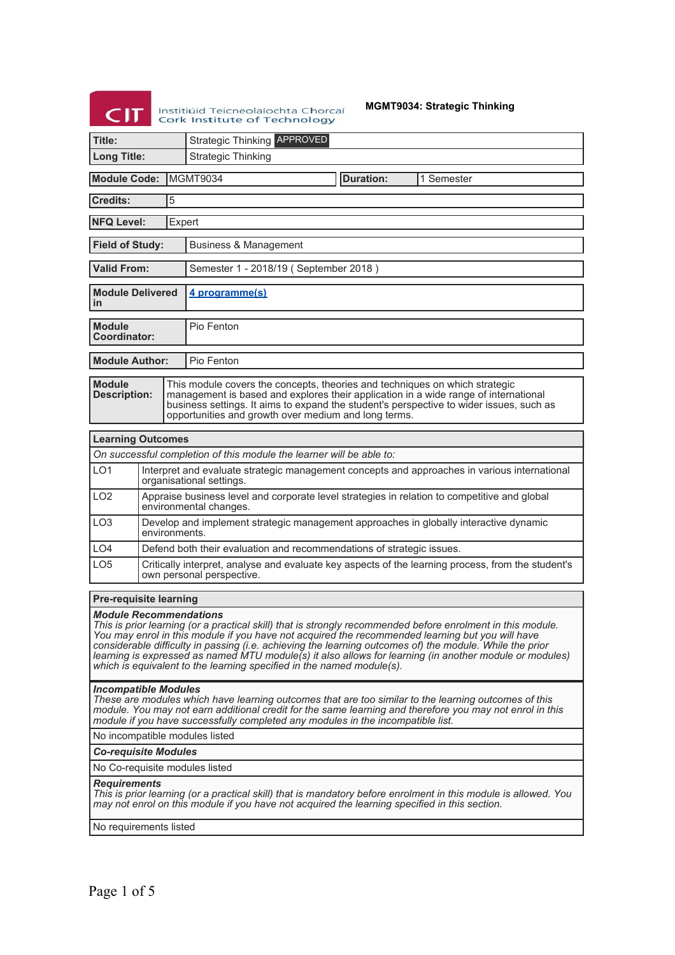|     | Institiúid Teic |
|-----|-----------------|
| CIT | Cork Institu    |
|     |                 |

**MGMT9034: Strategic Thinking**

| CIT                                                                                                                                                                                                                                                                                                                                                                                                                                                                                                                                                                               |                                                                                                                                 | <b>MGMT9034: Strategic Thinking</b><br>Institiúid Teicneolaíochta Chorcaí<br><b>Cork Institute of Technology</b>                                                                                                                                                                                                      |  |  |
|-----------------------------------------------------------------------------------------------------------------------------------------------------------------------------------------------------------------------------------------------------------------------------------------------------------------------------------------------------------------------------------------------------------------------------------------------------------------------------------------------------------------------------------------------------------------------------------|---------------------------------------------------------------------------------------------------------------------------------|-----------------------------------------------------------------------------------------------------------------------------------------------------------------------------------------------------------------------------------------------------------------------------------------------------------------------|--|--|
| Title:                                                                                                                                                                                                                                                                                                                                                                                                                                                                                                                                                                            |                                                                                                                                 | <b>Strategic Thinking APPROVED</b>                                                                                                                                                                                                                                                                                    |  |  |
| <b>Long Title:</b>                                                                                                                                                                                                                                                                                                                                                                                                                                                                                                                                                                |                                                                                                                                 | <b>Strategic Thinking</b>                                                                                                                                                                                                                                                                                             |  |  |
| <b>Module Code:</b>                                                                                                                                                                                                                                                                                                                                                                                                                                                                                                                                                               |                                                                                                                                 | MGMT9034<br><b>Duration:</b><br>1 Semester                                                                                                                                                                                                                                                                            |  |  |
| <b>Credits:</b>                                                                                                                                                                                                                                                                                                                                                                                                                                                                                                                                                                   | $\overline{5}$                                                                                                                  |                                                                                                                                                                                                                                                                                                                       |  |  |
| <b>NFQ Level:</b>                                                                                                                                                                                                                                                                                                                                                                                                                                                                                                                                                                 |                                                                                                                                 | Expert                                                                                                                                                                                                                                                                                                                |  |  |
| <b>Field of Study:</b>                                                                                                                                                                                                                                                                                                                                                                                                                                                                                                                                                            |                                                                                                                                 | Business & Management                                                                                                                                                                                                                                                                                                 |  |  |
| <b>Valid From:</b>                                                                                                                                                                                                                                                                                                                                                                                                                                                                                                                                                                |                                                                                                                                 | Semester 1 - 2018/19 (September 2018)                                                                                                                                                                                                                                                                                 |  |  |
| <b>Module Delivered</b><br>in                                                                                                                                                                                                                                                                                                                                                                                                                                                                                                                                                     |                                                                                                                                 | 4 programme(s)                                                                                                                                                                                                                                                                                                        |  |  |
| <b>Module</b><br><b>Coordinator:</b>                                                                                                                                                                                                                                                                                                                                                                                                                                                                                                                                              |                                                                                                                                 | Pio Fenton                                                                                                                                                                                                                                                                                                            |  |  |
| <b>Module Author:</b>                                                                                                                                                                                                                                                                                                                                                                                                                                                                                                                                                             |                                                                                                                                 | Pio Fenton                                                                                                                                                                                                                                                                                                            |  |  |
| <b>Module</b><br><b>Description:</b>                                                                                                                                                                                                                                                                                                                                                                                                                                                                                                                                              |                                                                                                                                 | This module covers the concepts, theories and techniques on which strategic<br>management is based and explores their application in a wide range of international<br>business settings. It aims to expand the student's perspective to wider issues, such as<br>opportunities and growth over medium and long terms. |  |  |
| <b>Learning Outcomes</b>                                                                                                                                                                                                                                                                                                                                                                                                                                                                                                                                                          |                                                                                                                                 |                                                                                                                                                                                                                                                                                                                       |  |  |
|                                                                                                                                                                                                                                                                                                                                                                                                                                                                                                                                                                                   |                                                                                                                                 | On successful completion of this module the learner will be able to:                                                                                                                                                                                                                                                  |  |  |
| LO <sub>1</sub>                                                                                                                                                                                                                                                                                                                                                                                                                                                                                                                                                                   |                                                                                                                                 | Interpret and evaluate strategic management concepts and approaches in various international<br>organisational settings.                                                                                                                                                                                              |  |  |
| LO <sub>2</sub>                                                                                                                                                                                                                                                                                                                                                                                                                                                                                                                                                                   |                                                                                                                                 | Appraise business level and corporate level strategies in relation to competitive and global<br>environmental changes.                                                                                                                                                                                                |  |  |
| LO <sub>3</sub>                                                                                                                                                                                                                                                                                                                                                                                                                                                                                                                                                                   | environments.                                                                                                                   | Develop and implement strategic management approaches in globally interactive dynamic                                                                                                                                                                                                                                 |  |  |
| LO4                                                                                                                                                                                                                                                                                                                                                                                                                                                                                                                                                                               |                                                                                                                                 | Defend both their evaluation and recommendations of strategic issues.                                                                                                                                                                                                                                                 |  |  |
| LO <sub>5</sub>                                                                                                                                                                                                                                                                                                                                                                                                                                                                                                                                                                   | Critically interpret, analyse and evaluate key aspects of the learning process, from the student's<br>own personal perspective. |                                                                                                                                                                                                                                                                                                                       |  |  |
|                                                                                                                                                                                                                                                                                                                                                                                                                                                                                                                                                                                   |                                                                                                                                 |                                                                                                                                                                                                                                                                                                                       |  |  |
| <b>Pre-requisite learning</b><br><b>Module Recommendations</b><br>This is prior learning (or a practical skill) that is strongly recommended before enrolment in this module.<br>You may enrol in this module if you have not acquired the recommended learning but you will have<br>considerable difficulty in passing (i.e. achieving the learning outcomes of) the module. While the prior<br>learning is expressed as named MTU module(s) it also allows for learning (in another module or modules)<br>which is equivalent to the learning specified in the named module(s). |                                                                                                                                 |                                                                                                                                                                                                                                                                                                                       |  |  |
|                                                                                                                                                                                                                                                                                                                                                                                                                                                                                                                                                                                   | <b>Incompatible Modules</b>                                                                                                     | These are modules which have learning outcomes that are too similar to the learning outcomes of this<br>module. You may not earn additional credit for the same learning and therefore you may not enrol in this<br>module if you have successfully completed any modules in the incompatible list.                   |  |  |
| No incompatible modules listed                                                                                                                                                                                                                                                                                                                                                                                                                                                                                                                                                    |                                                                                                                                 |                                                                                                                                                                                                                                                                                                                       |  |  |
| <b>Co-requisite Modules</b><br>No Co-requisite modules listed                                                                                                                                                                                                                                                                                                                                                                                                                                                                                                                     |                                                                                                                                 |                                                                                                                                                                                                                                                                                                                       |  |  |
| <b>Requirements</b><br>This is prior learning (or a practical skill) that is mandatory before enrolment in this module is allowed. You<br>may not enrol on this module if you have not acquired the learning specified in this section.                                                                                                                                                                                                                                                                                                                                           |                                                                                                                                 |                                                                                                                                                                                                                                                                                                                       |  |  |
| No requirements listed                                                                                                                                                                                                                                                                                                                                                                                                                                                                                                                                                            |                                                                                                                                 |                                                                                                                                                                                                                                                                                                                       |  |  |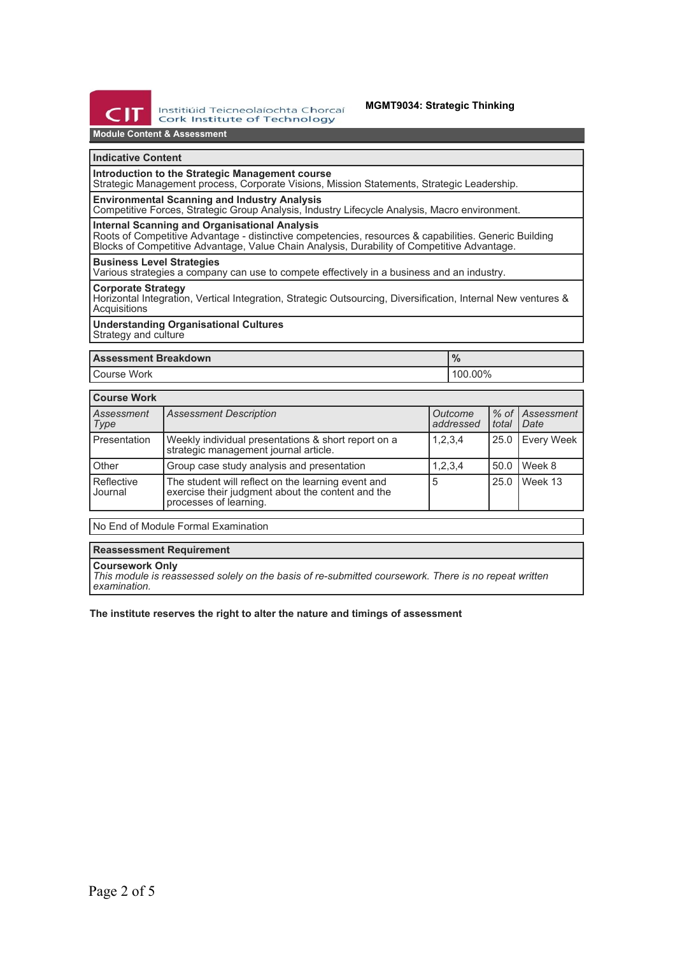

#### **MGMT9034: Strategic Thinking**

## **Module Content & Assessment**

#### **Indicative Content**

### **Introduction to the Strategic Management course**

Strategic Management process, Corporate Visions, Mission Statements, Strategic Leadership.

### **Environmental Scanning and Industry Analysis**

Competitive Forces, Strategic Group Analysis, Industry Lifecycle Analysis, Macro environment.

## **Internal Scanning and Organisational Analysis**

Roots of Competitive Advantage - distinctive competencies, resources & capabilities. Generic Building Blocks of Competitive Advantage, Value Chain Analysis, Durability of Competitive Advantage.

#### **Business Level Strategies**

Various strategies a company can use to compete effectively in a business and an industry.

### **Corporate Strategy**

Horizontal Integration, Vertical Integration, Strategic Outsourcing, Diversification, Internal New ventures & Acquisitions

#### **Understanding Organisational Cultures** Strategy and culture

| <b>Assessment Breakdown</b> | 70      |  |
|-----------------------------|---------|--|
| Course Work                 | 100.00% |  |

| <b>Course Work</b>    |                                                                                                                                   |                      |       |                         |
|-----------------------|-----------------------------------------------------------------------------------------------------------------------------------|----------------------|-------|-------------------------|
| Assessment<br>Type    | <b>Assessment Description</b>                                                                                                     | Outcome<br>addressed | total | % of Assessment<br>Date |
| Presentation          | Weekly individual presentations & short report on a<br>strategic management journal article.                                      | 1,2,3,4              | 25.0  | <b>Every Week</b>       |
| Other                 | Group case study analysis and presentation                                                                                        | 1,2,3,4              | 50.0  | Week 8                  |
| Reflective<br>Journal | The student will reflect on the learning event and<br>exercise their judgment about the content and the<br>processes of learning. | 5                    | 25.0  | Week 13                 |

No End of Module Formal Examination

#### **Reassessment Requirement**

#### **Coursework Only**

*This module is reassessed solely on the basis of re-submitted coursework. There is no repeat written examination.*

#### **The institute reserves the right to alter the nature and timings of assessment**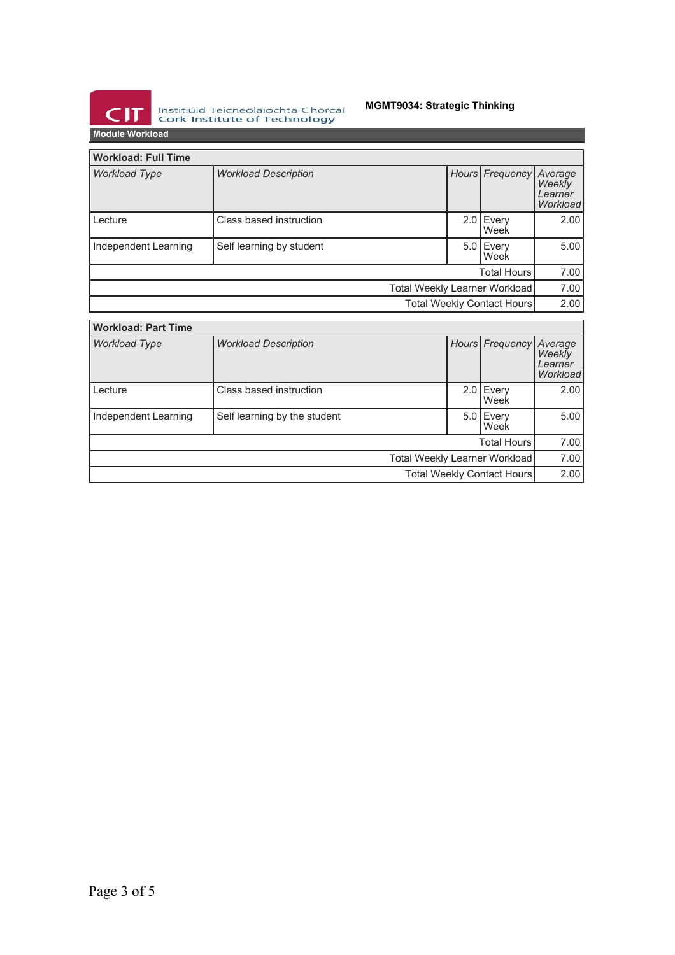

Institiúid Teicneolaíochta Chorcaí<br>Cork Institute of Technology

# **MGMT9034: Strategic Thinking**

| IVIUUIT YYVINIVAU                    |                             |  |  |                     |                                                 |
|--------------------------------------|-----------------------------|--|--|---------------------|-------------------------------------------------|
| <b>Workload: Full Time</b>           |                             |  |  |                     |                                                 |
| <b>Workload Type</b>                 | <b>Workload Description</b> |  |  | Hours Frequency     | Average<br><b>Weekly</b><br>Learner<br>Workload |
| Lecture                              | Class based instruction     |  |  | $2.0$ Every<br>Week | 2.00                                            |
| Independent Learning                 | Self learning by student    |  |  | $5.0$ Every<br>Week | 5.00                                            |
| <b>Total Hours</b>                   |                             |  |  |                     | 7.00                                            |
| <b>Total Weekly Learner Workload</b> |                             |  |  | 7.00                |                                                 |
| Total Weekly Contact Hours           |                             |  |  | 2.00                |                                                 |
| <b>Workload: Part Time</b>           |                             |  |  |                     |                                                 |
| <b>Workload Type</b>                 | <b>Workload Description</b> |  |  | Hours Frequency     | Average<br>Weekly<br>Learner<br><i>Morkload</i> |

| Workload Type              | <b>Workload Description</b>  |                               |  | Hours Frequency Average | Weekly<br>Learner<br>Workload |
|----------------------------|------------------------------|-------------------------------|--|-------------------------|-------------------------------|
| Lecture                    | Class based instruction      |                               |  | 2.0 Every<br>Week       | 2.00                          |
| Independent Learning       | Self learning by the student |                               |  | 5.0 Every<br>Week       | 5.00                          |
|                            |                              |                               |  | <b>Total Hours</b>      | 7.00                          |
|                            |                              | Total Weekly Learner Workload |  |                         | 7.00                          |
| Total Weekly Contact Hours |                              |                               |  | 2.00                    |                               |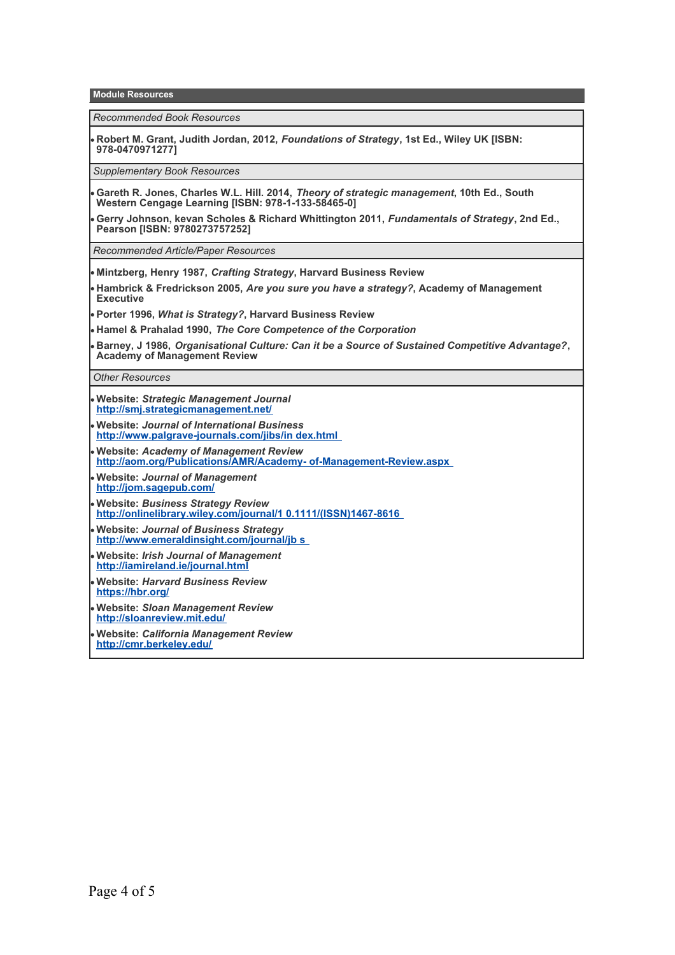**Module Resources**

*Recommended Book Resources*

**Robert M. Grant, Judith Jordan, 2012,** *Foundations of Strategy***, 1st Ed., Wiley UK [ISBN: 978-0470971277]**

*Supplementary Book Resources*

**Gareth R. Jones, Charles W.L. Hill. 2014,** *Theory of strategic management***, 10th Ed., South Western Cengage Learning [ISBN: 978-1-133-58465-0]**

**Gerry Johnson, kevan Scholes & Richard Whittington 2011,** *Fundamentals of Strategy***, 2nd Ed., Pearson [ISBN: 9780273757252]**

*Recommended Article/Paper Resources*

- **Mintzberg, Henry 1987,** *Crafting Strategy***, Harvard Business Review**
- **Hambrick & Fredrickson 2005,** *Are you sure you have a strategy?***, Academy of Management Executive**
- **Porter 1996,** *What is Strategy?***, Harvard Business Review**
- **Hamel & Prahalad 1990,** *The Core Competence of the Corporation*
- **Barney, J 1986,** *Organisational Culture: Can it be a Source of Sustained Competitive Advantage?***, Academy of Management Review**

*Other Resources*

- **Website:** *Strategic Management Journal* **<http://smj.strategicmanagement.net/>**
- **Website:** *Journal of International Business* **[http://www.palgrave-journals.com/jibs/in dex.html](http://www.palgrave-journals.com/jibs/index.html)**
- **Website:** *Academy of Management Review* **[http://aom.org/Publications/AMR/Academy- of-Management-Review.aspx](http://aom.org/Publications/AMR/Academy-of-Management-Review.aspx)**
- **Website:** *Journal of Management* **<http://jom.sagepub.com/>**
- **Website:** *Business Strategy Review* **[http://onlinelibrary.wiley.com/journal/1 0.1111/\(ISSN\)1467-8616](http://onlinelibrary.wiley.com/journal/10.1111/(ISSN)1467-8616)**
- **Website:** *Journal of Business Strategy* **[http://www.emeraldinsight.com/journal/jb s](http://www.emeraldinsight.com/journal/jbs)**
- **Website:** *Irish Journal of Management* **<http://iamireland.ie/journal.html>**
- **Website:** *Harvard Business Review* **<https://hbr.org/>**
- **Website:** *Sloan Management Review* **<http://sloanreview.mit.edu/>**
- **Website:** *California Management Review* **<http://cmr.berkeley.edu/>**